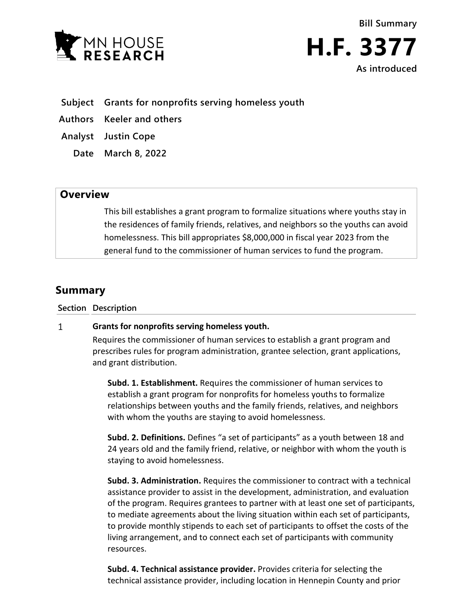



- **Subject Grants for nonprofits serving homeless youth**
- **Authors Keeler and others**
- **Analyst Justin Cope**
	- **Date March 8, 2022**

## **Overview**

This bill establishes a grant program to formalize situations where youths stay in the residences of family friends, relatives, and neighbors so the youths can avoid homelessness. This bill appropriates \$8,000,000 in fiscal year 2023 from the general fund to the commissioner of human services to fund the program.

# **Summary**

**Section Description**

#### $\mathbf{1}$ **Grants for nonprofits serving homeless youth.**

Requires the commissioner of human services to establish a grant program and prescribes rules for program administration, grantee selection, grant applications, and grant distribution.

**Subd. 1. Establishment.** Requires the commissioner of human services to establish a grant program for nonprofits for homeless youths to formalize relationships between youths and the family friends, relatives, and neighbors with whom the youths are staying to avoid homelessness.

**Subd. 2. Definitions.** Defines "a set of participants" as a youth between 18 and 24 years old and the family friend, relative, or neighbor with whom the youth is staying to avoid homelessness.

**Subd. 3. Administration.** Requires the commissioner to contract with a technical assistance provider to assist in the development, administration, and evaluation of the program. Requires grantees to partner with at least one set of participants, to mediate agreements about the living situation within each set of participants, to provide monthly stipends to each set of participants to offset the costs of the living arrangement, and to connect each set of participants with community resources.

**Subd. 4. Technical assistance provider.** Provides criteria for selecting the technical assistance provider, including location in Hennepin County and prior